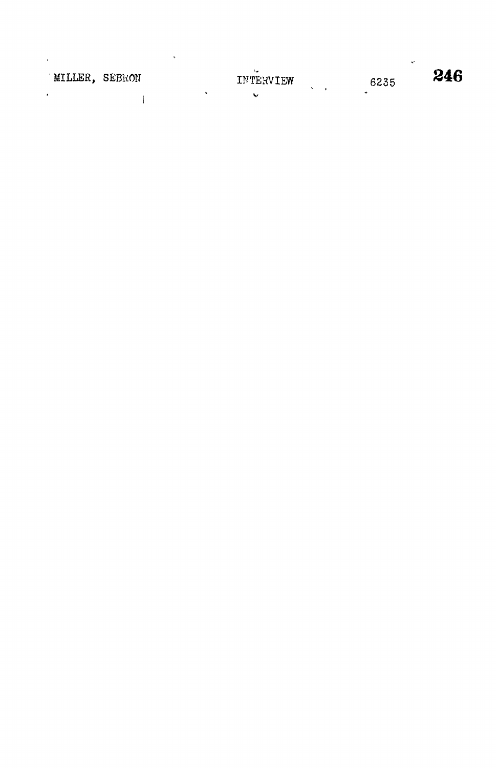| MILLER, SEBRON |  | `∽<br>INTERVIEW | 6235      | 246 |
|----------------|--|-----------------|-----------|-----|
|                |  | ₩               | $\bullet$ |     |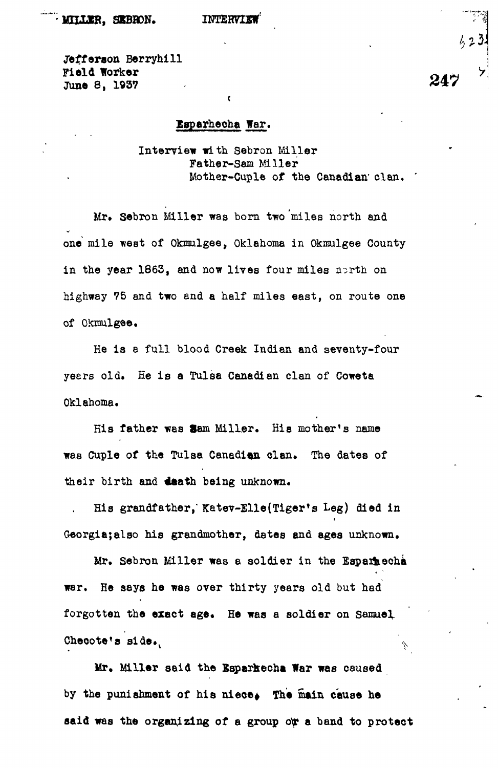je£feraon Berryhill Field Worker June 8, 1937

## Esparhecha War.

t

Interview with Sebron Miller Father-Sam Miller Mother-Cuple of the Canadian' clan.

Mr. Sebron Miller was born two miles north and one mile west of Okmulgee, Oklahoma in Okmulgee County in the year  $1863$ , and now lives four miles north on highway 75 and two and a half miles east, on route one of Okmulgee.

He is a full blood Creek Indian and seventy-four yeers old. Ee is a Tulsa Canadian clan of Coweta Oklahoma.

His father was Sam Miller. His mother's name was Cuple of the Tulsa Canadian clan. The dates of their birth and death being unknown.

His grandfather," Katev-Elle(Tiger's Leg) died in Georgia;also his grandmother, dates and ages unknown.

Mr. Sebron Miller was a soldier in the Esparhecha war. He says he was over thirty years old but had forgotten the exact age. He was a soldier on Samuel Checote's side.

Mr. Miller said the Esparkecha War was caused by the punishment of his niece. The main cause he said was the organizing of a group ow a band to protect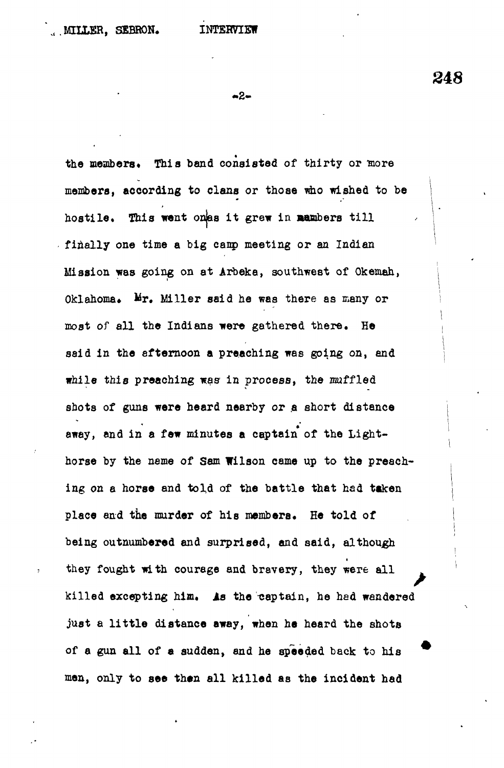248

**-2-**

the members. This band consisted of thirty or more members, according to clans or those who wished to be hostile. This went onas it grew in mambers till **finally one time a big eanp meeting or an Indian Mission was going on at Arbeka, southwest of Okemah,** Oklahoma. Mr. Miller said he was there as many or **most of all the Indians were gathered there. He said in the afternoon a preaching was going on, and while this preaching was in process, the muffled** shots of guns were heard nearby or a short distance **away, and in a few minutes a captain of the Lighthorse by the name of Sam Wilson came up to the preaching on a horse and told of the battle that had taken place and the murder of his members. He told of being outnumbered and surprised, and said, although they fought with courage and bravery, they were all** killed excepting him. As the captain, he had wandered **just a little distance away, when ha heard the shots of a gun all of a sudden, end he speeded back to his men, only to see then all killed as the incident had**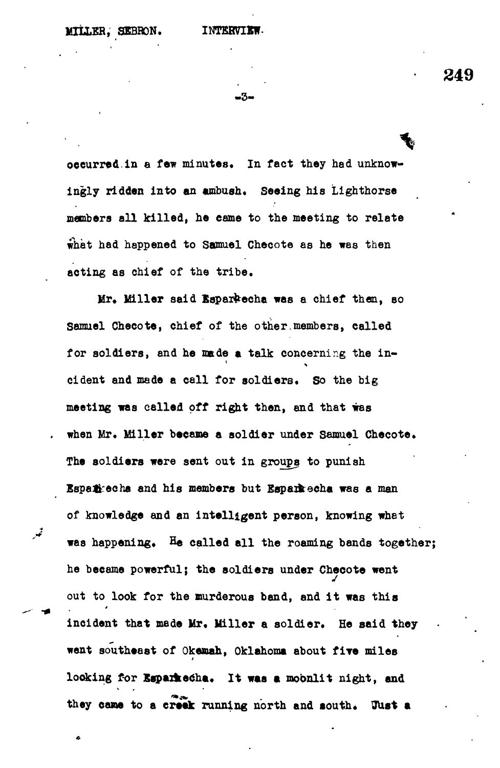**MILLER, SEBRON. INTERVIK** 

**249**

-3-

occurred.in a few minutes. In fact they had unknow**ingly ridden into an ambush. Seeing his Lighthorse members all killed, he came to the meeting to relate what had happened to Samuel Ghecote as he was then acting as chief of the tribe.**

Mr. Miller said Esparkecha was a chief then, so **Samuel Checote, chief of the other.members, called** for soldiers, and he made a talk concerning the in**cident and made a call for soldiers. So the big meeting was called off right then, and that was when Mr. Miller became a soldier under Samuel Checote. The soldiers were sent out in groups to punish Sspa&echa and his members but Bspaikecha was a man of knowledge and an intelligent person, knowing what** was happening. He called all the roaming bands together; he became powerful; the soldiers under Checote went out to look for the murderous band, and it was this **out incloach that made Mr. Miller a soldier. He said th** went southeast of Okemah, Oklahoma about five miles looking for Esparkecha. It was a moonlit night, and they came to a creek running north and south. **Just a** 

**they cane to a creek running north and south\* UUst a**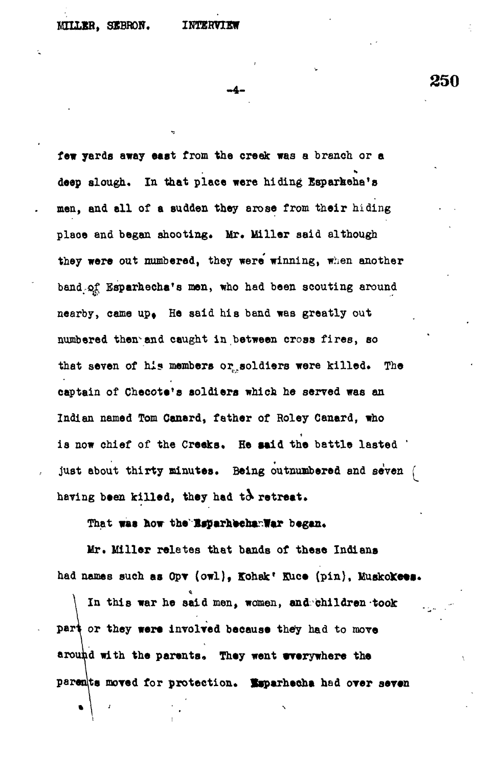## **WHIJEB, SXBRON. INTERVIEW**

**250**

**few yards away east from the creek was a branch or a deep slough. In that place were hiding Esparkeha'e men, and all of a sudden they arose from their hiding** place and began shooting. Mr. Miller said although **they were out numbered, they were' winning, when another** band of Esparhecha's men, who had been scouting around nearby, came up. He said his band was greatly out **numbered then-and caught in between cross fires, so** that seven of his members or soldiers were killed. The **captain of Checote'e soldiers which he served was an Indian named Tom Canard, father of Holey Canard, who** is now chief of the Creeks. He said the battle lasted ' **just about thirty minutes. Being outnumbered and seven f** having been killed, they had to retreat.

## That was how the EsparhechanWar began.

**Mr. Miller relates that bands of these Indians** had names such as Opv (owl), Kohak' Kuce (pin), Muskokees.

**\ In this war he said men, women, and children took** part or they were involved because they had to move around with the parents. They went wverywhere the parents moved for protection. Esparhecha had over seven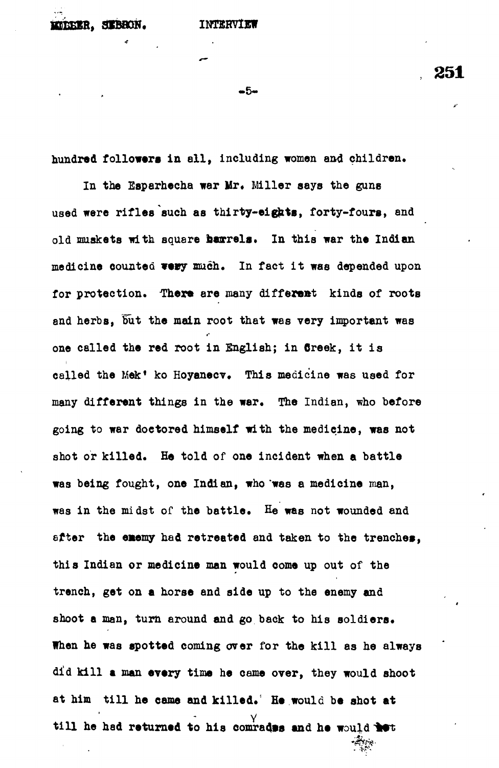**SEBBON. INTERVIEW** 

**251**

**-5-**

hundred followers in all, including women and children.

In the Esparhecha war Mr. Miller says the guns used were rifles such as thirty-eights, forty-fours, and **old muskets with square barrels. In this war the Indian medicine counted \*«\*y much. In fact it was depended upon for protection. There are many different kinds of roots and herbs, but the main root that was very important was one called the red root in English; in Creek, it is called the Mek\* ko Hoyanecv. This medicine was used for many different things in the war. The Indian, who before going to war doctored himself with the medicine, was not shot or killed. He told of one incident when a battle was being fought, one Indian, who "was a medicine man, was in the midst of the battle. He was not wounded and after the eaemy had retreated and taken to the trenches, this Indian or medicine man would come up out of the trench, get on a horse and side up to the enemy and shoot a man, turn around and go back to his soldiers. When he was spotted coming over for the kill as he always did kill a man every time he came over, they would shoot at him till he came and killed.' He would be shot at V till he had returned to his comrades and he would**

 $\mathbb{R}^N$  .